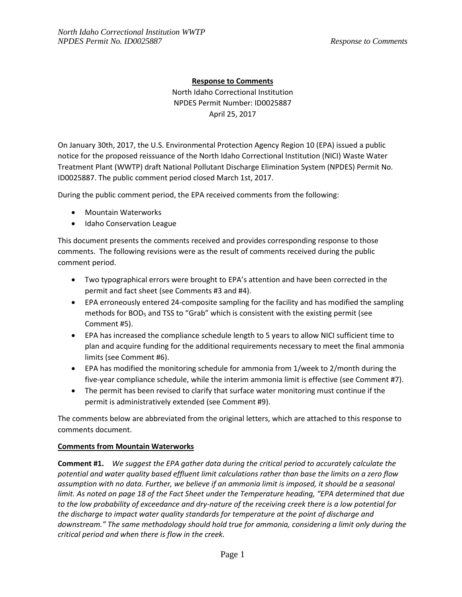## **Response to Comments**

North Idaho Correctional Institution NPDES Permit Number: ID0025887 April 25, 2017

On January 30th, 2017, the U.S. Environmental Protection Agency Region 10 (EPA) issued a public notice for the proposed reissuance of the North Idaho Correctional Institution (NICI) Waste Water Treatment Plant (WWTP) draft National Pollutant Discharge Elimination System (NPDES) Permit No. ID0025887. The public comment period closed March 1st, 2017.

During the public comment period, the EPA received comments from the following:

- Mountain Waterworks
- Idaho Conservation League

This document presents the comments received and provides corresponding response to those comments. The following revisions were as the result of comments received during the public comment period.

- Two typographical errors were brought to EPA's attention and have been corrected in the permit and fact sheet (see Comments #3 and #4).
- EPA erroneously entered 24-composite sampling for the facility and has modified the sampling methods for BOD<sup>5</sup> and TSS to "Grab" which is consistent with the existing permit (see Comment #5).
- EPA has increased the compliance schedule length to 5 years to allow NICI sufficient time to plan and acquire funding for the additional requirements necessary to meet the final ammonia limits (see Comment #6).
- EPA has modified the monitoring schedule for ammonia from 1/week to 2/month during the five-year compliance schedule, while the interim ammonia limit is effective (see Comment #7).
- The permit has been revised to clarify that surface water monitoring must continue if the permit is administratively extended (see Comment #9).

The comments below are abbreviated from the original letters, which are attached to this response to comments document.

## **Comments from Mountain Waterworks**

**Comment #1.** *We suggest the EPA gather data during the critical period to accurately calculate the potential and water quality based effluent limit calculations rather than base the limits on a zero flow assumption with no data. Further, we believe if an ammonia limit is imposed, it should be a seasonal limit. As noted on page 18 of the Fact Sheet under the Temperature heading, "EPA determined that due to the low probability of exceedance and dry-nature of the receiving creek there is a low potential for the discharge to impact water quality standards for temperature at the point of discharge and downstream." The same methodology should hold true for ammonia, considering a limit only during the critical period and when there is flow in the creek.*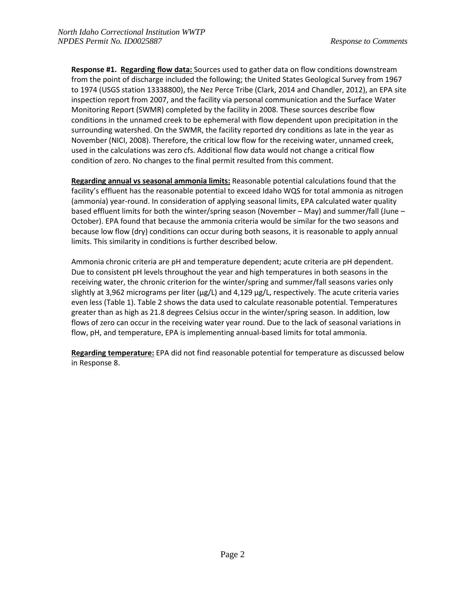**Response #1. Regarding flow data:** Sources used to gather data on flow conditions downstream from the point of discharge included the following; the United States Geological Survey from 1967 to 1974 (USGS station 13338800), the Nez Perce Tribe (Clark, 2014 and Chandler, 2012), an EPA site inspection report from 2007, and the facility via personal communication and the Surface Water Monitoring Report (SWMR) completed by the facility in 2008. These sources describe flow conditions in the unnamed creek to be ephemeral with flow dependent upon precipitation in the surrounding watershed. On the SWMR, the facility reported dry conditions as late in the year as November (NICI, 2008). Therefore, the critical low flow for the receiving water, unnamed creek, used in the calculations was zero cfs. Additional flow data would not change a critical flow condition of zero. No changes to the final permit resulted from this comment.

**Regarding annual vs seasonal ammonia limits:** Reasonable potential calculations found that the facility's effluent has the reasonable potential to exceed Idaho WQS for total ammonia as nitrogen (ammonia) year-round. In consideration of applying seasonal limits, EPA calculated water quality based effluent limits for both the winter/spring season (November – May) and summer/fall (June – October). EPA found that because the ammonia criteria would be similar for the two seasons and because low flow (dry) conditions can occur during both seasons, it is reasonable to apply annual limits. This similarity in conditions is further described below.

Ammonia chronic criteria are pH and temperature dependent; acute criteria are pH dependent. Due to consistent pH levels throughout the year and high temperatures in both seasons in the receiving water, the chronic criterion for the winter/spring and summer/fall seasons varies only slightly at 3,962 micrograms per liter ( $\mu$ g/L) and 4,129  $\mu$ g/L, respectively. The acute criteria varies even less (Table 1). Table 2 shows the data used to calculate reasonable potential. Temperatures greater than as high as 21.8 degrees Celsius occur in the winter/spring season. In addition, low flows of zero can occur in the receiving water year round. Due to the lack of seasonal variations in flow, pH, and temperature, EPA is implementing annual-based limits for total ammonia.

**Regarding temperature:** EPA did not find reasonable potential for temperature as discussed below in Response 8.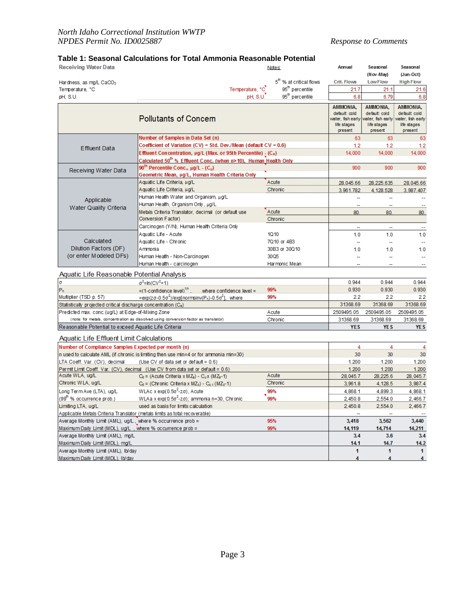# **Table 1: Seasonal Calculations for Total Ammonia Reasonable Potential**

| Receiving Water Data                                                                            |                                                                                            | Notes:                              | Annual                                                                          | Seasonal                                                                 | Seasonal                                                                              |
|-------------------------------------------------------------------------------------------------|--------------------------------------------------------------------------------------------|-------------------------------------|---------------------------------------------------------------------------------|--------------------------------------------------------------------------|---------------------------------------------------------------------------------------|
|                                                                                                 |                                                                                            |                                     |                                                                                 | (Nov-May)                                                                | (Jun-Oct)                                                                             |
| Hardness, as mg/L CaCO <sub>3</sub>                                                             |                                                                                            | 5 <sup>th</sup> % at critical flows | Crit. Flows                                                                     | LowFlow                                                                  | <b>High Flow</b>                                                                      |
| Temperature, °C                                                                                 | Temperature, °C                                                                            | 95 <sup>th</sup> percentile         | 21.7                                                                            | 21.1                                                                     | 21.6                                                                                  |
| pH, S.U.                                                                                        | pH, S.U.                                                                                   | 95 <sup>th</sup> percentile         | 6.8                                                                             | 6.79                                                                     | 6.8                                                                                   |
|                                                                                                 | <b>Pollutants of Concem</b>                                                                |                                     | <b>AMMONIA,</b><br>default: cold<br>water, fish early<br>life stages<br>present | AMMONIA,<br>default: cold<br>water, fish early<br>life stages<br>present | <b>AMMONIA.</b><br>default cold<br>water, <b>f</b> sh early<br>life stages<br>present |
|                                                                                                 | Number of Samples in Data Set (n)                                                          |                                     | 63                                                                              | 63                                                                       | 63                                                                                    |
| Effluent Data                                                                                   | Coefficient of Variation (CV) = Std. Dev./Mean (default $CV = 0.6$ )                       |                                     | 1.2                                                                             | 1.2                                                                      | 1.2                                                                                   |
|                                                                                                 | Effluent Concentration, µg/L (Max. or 95th Percentile) - (C <sub>e</sub> )                 |                                     | 14,000                                                                          | 14,000                                                                   | 14,000                                                                                |
|                                                                                                 | Calculated 50 <sup>th</sup> % Effluent Conc. (when n>10), Human Health Only                |                                     |                                                                                 |                                                                          |                                                                                       |
| Receiving Water Data                                                                            | 90 <sup>th</sup> Percentile Conc., $\mu$ g/L - (C <sub>u</sub> )                           |                                     | 900                                                                             | 900                                                                      | 900                                                                                   |
|                                                                                                 | Geometric Mean, µg/L, Human Health Criteria Only                                           |                                     |                                                                                 |                                                                          |                                                                                       |
|                                                                                                 | Aquatic Life Criteria, μg/L                                                                | Acute                               | 28,045.66                                                                       | 28,225.635                                                               | 28,045.66                                                                             |
|                                                                                                 | Aquatic Life Criteria, μg/L                                                                | Chronic                             | 3,961.782                                                                       | 4,128.528                                                                | 3,987.407                                                                             |
| Applicable                                                                                      | Human Health Water and Organism, µg/L<br>Human Health, Organism Only, µg/L                 |                                     | $\overline{\phantom{a}}$                                                        | $\overline{\phantom{a}}$                                                 |                                                                                       |
| Water Quality Criteria                                                                          | Metals Criteria Translator, decimal (or default use                                        | Acute                               | 80.                                                                             | 80.                                                                      | $\overline{\phantom{a}}$<br>80.                                                       |
|                                                                                                 | Conversion Factor)                                                                         | Chronic                             |                                                                                 |                                                                          |                                                                                       |
|                                                                                                 | Carcinogen (Y/N), Human Health Criteria Only                                               |                                     | $\overline{\phantom{a}}$                                                        | $\overline{\phantom{a}}$                                                 |                                                                                       |
|                                                                                                 | Aquatic Life - Acute                                                                       | 10.10                               | 1.0                                                                             | 1.0                                                                      | 1.0                                                                                   |
| Calculated                                                                                      | Aquatic Life - Chronic                                                                     | 7Q10 or 4B3                         |                                                                                 | $\overline{\phantom{a}}$                                                 |                                                                                       |
| Dilution Factors (DF)<br>(or enter Modeled DFs)                                                 | Ammonia                                                                                    | 30B3 or 30Q10                       | 1.0                                                                             | 1.0                                                                      | 1.0                                                                                   |
|                                                                                                 | Human Health - Non-Carcinogen                                                              | 30Q5                                | -                                                                               | -                                                                        | --                                                                                    |
|                                                                                                 | Human Health - carcinogen                                                                  | Harmonic Mean                       |                                                                                 |                                                                          |                                                                                       |
| Aquatic Life Reasonable Potential Analysis                                                      |                                                                                            |                                     |                                                                                 |                                                                          |                                                                                       |
| $\sigma$                                                                                        | $\sigma^2$ =ln(CV <sup>2</sup> +1)                                                         |                                     | 0.944                                                                           | 0.944                                                                    | 0.944                                                                                 |
| $P_n$                                                                                           | $=(1$ -confidence level) $^{1/n}$ .<br>where confidence level =                            | 99%                                 | 0.930                                                                           | 0.930                                                                    | 0.930                                                                                 |
| Multiplier (TSD p. 57)                                                                          | $=$ exp(z $\sigma$ -0.5 $\sigma^2$ )/exp[normsinv(P <sub>n</sub> )-0.5 $\sigma^2$ ], where | 99%                                 | 22                                                                              | 2.2                                                                      | 2.2                                                                                   |
| Statistically projected critical discharge concentration (Ce)                                   | 31368.69                                                                                   | 31368.69                            | 31368.69                                                                        |                                                                          |                                                                                       |
| Predicted max. conc.(ug/L) at Edge-of-Mixing Zone                                               |                                                                                            | Acute                               | 2509495.05                                                                      | 2509495.05                                                               | 2509495.05                                                                            |
| (note: for metals, concentration as dissolved using conversion factor as translator)<br>Chronic |                                                                                            |                                     |                                                                                 | 31368.69                                                                 | 31368.69                                                                              |
| Reasonable Potential to exceed Aquatic Life Criteria                                            |                                                                                            |                                     | <b>YES</b>                                                                      | <b>YES</b>                                                               | <b>YES</b>                                                                            |
| Aquatic Life Effluent Limit Calculations                                                        |                                                                                            |                                     |                                                                                 |                                                                          |                                                                                       |
| Number of Compliance Samples Expected per month (n)                                             |                                                                                            |                                     | 4                                                                               | 4                                                                        | 4                                                                                     |
|                                                                                                 | n used to calculate AML (if chronic is limiting then use min=4 or for ammonia min=30)      |                                     | 30                                                                              | 30                                                                       | 30                                                                                    |
| LTA Coeff. Var. (CV), decimal                                                                   | (Use CV of data set or default = $0.6$ )                                                   |                                     | 1.200                                                                           | 1.200                                                                    | 1.200                                                                                 |
|                                                                                                 | Permit Limit Coeff. Var. (CV), decimal (Use CV from data set or default = 0.6)             |                                     | 1.200                                                                           | 1.200                                                                    | 1.200                                                                                 |
| Acute WLA, ug/L                                                                                 | $C_d$ = (Acute Criteria x MZ <sub>a</sub> ) - $C_u$ x (MZ <sub>a</sub> -1)                 | Acute                               | 28,045.7                                                                        | 28,225.6                                                                 | 28,045.7                                                                              |
| Chronic WLA, ug/L                                                                               | $C_d$ = (Chronic Criteria x MZ <sub>c</sub> ) - $C_{u}$ x (MZ <sub>c</sub> -1)             | Chronic                             | 3,961.8                                                                         | 4,128.5                                                                  | 3,987.4                                                                               |
| Long Term Ave (LTA), ug/L                                                                       | WLAc x exp( $0.5\sigma^2$ -zo), Acute                                                      | 99%                                 | 4,868.1                                                                         | 4,899.3                                                                  | 4,868.1                                                                               |
| (99 <sup>th</sup> % occurrence prob.)                                                           | WLAa x exp(0.5 $\sigma^2$ -zo); ammonia n=30, Chronic                                      | 99%                                 | 2,450.8                                                                         | 2,554.0                                                                  | 2,466.7                                                                               |
| Limiting LTA, ug/L                                                                              | used as basis for limits calculation                                                       |                                     | 2,450.8                                                                         | 2,554.0                                                                  | 2,466.7                                                                               |
| Applicable Metals Criteria Translator (metals limits as total recoverable)                      |                                                                                            |                                     |                                                                                 |                                                                          |                                                                                       |
| Average Monthly Limit (AML), ug/L, where % occurrence prob =                                    | 3,418                                                                                      | 3,562                               | 3,440                                                                           |                                                                          |                                                                                       |
| Maximum Daily Limit (MDL), ug/L, where % occurrence prob =                                      | 14,119                                                                                     | 14,714                              | 14,211                                                                          |                                                                          |                                                                                       |
| Average Monthly Limit (AML), mg/L                                                               | 3.4                                                                                        | 3.6                                 | 3.4                                                                             |                                                                          |                                                                                       |
| Maximum Daily Limit (MDL), mg/L<br>Average Monthly Limit (AML), Ib/day                          |                                                                                            |                                     | 14.1<br>1                                                                       | 14.7<br>1                                                                | <u>14.2</u><br>$\mathbf{1}$                                                           |
| Maximum Daily Limit (MDL), Ib/day                                                               |                                                                                            |                                     | 4                                                                               | 4                                                                        | 4                                                                                     |
|                                                                                                 |                                                                                            |                                     |                                                                                 |                                                                          |                                                                                       |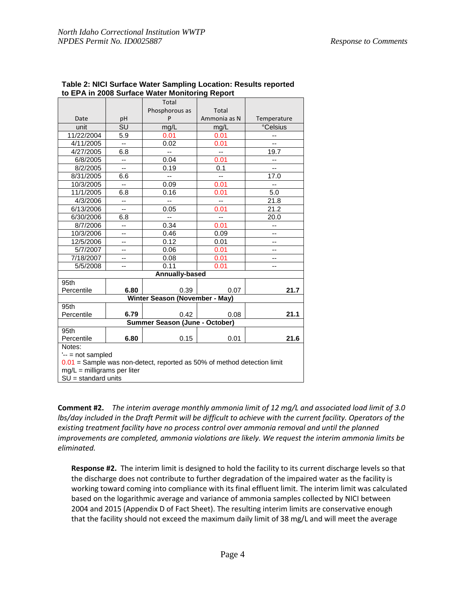| to EPA in 2006 Surface Water Monitoring Report                            |                          |                          |                          |                          |  |  |  |
|---------------------------------------------------------------------------|--------------------------|--------------------------|--------------------------|--------------------------|--|--|--|
|                                                                           |                          | Total                    |                          |                          |  |  |  |
|                                                                           |                          | Phosphorous as           | Total                    |                          |  |  |  |
| Date                                                                      | pH                       | P                        | Ammonia as N             | Temperature              |  |  |  |
| unit                                                                      | SU                       | mg/L                     | mg/L                     | <b>Celsius</b>           |  |  |  |
| 11/22/2004                                                                | 5.9                      | 0.01                     | 0.01                     | --                       |  |  |  |
| 4/11/2005                                                                 | $-$                      | 0.02                     | 0.01                     | --                       |  |  |  |
| 4/27/2005                                                                 | 6.8                      | $\overline{a}$           | $\overline{a}$           | 19.7                     |  |  |  |
| 6/8/2005                                                                  | --                       | 0.04                     | 0.01                     | --                       |  |  |  |
| 8/2/2005                                                                  | Ξ.                       | 0.19                     | 0.1                      | Ξ.                       |  |  |  |
| 8/31/2005                                                                 | 6.6                      | $\overline{\phantom{a}}$ | $\overline{\phantom{a}}$ | 17.0                     |  |  |  |
| 10/3/2005                                                                 | $-$                      | 0.09                     | 0.01                     | $\overline{a}$           |  |  |  |
| 11/1/2005                                                                 | 6.8                      | 0.16                     | 0.01                     | 5.0                      |  |  |  |
| 4/3/2006                                                                  | $\overline{\phantom{a}}$ | u.                       | цц.                      | 21.8                     |  |  |  |
| 6/13/2006                                                                 | --                       | 0.05                     | 0.01                     | 21.2                     |  |  |  |
| 6/30/2006                                                                 | 6.8                      | Ш,                       | $\overline{\phantom{a}}$ | 20.0                     |  |  |  |
| 8/7/2006                                                                  | --                       | 0.34                     | 0.01                     | --                       |  |  |  |
| 10/3/2006                                                                 | --                       | 0.46                     | 0.09                     | $\overline{\phantom{a}}$ |  |  |  |
| 12/5/2006                                                                 | --                       | 0.12                     | 0.01                     | --                       |  |  |  |
| 5/7/2007                                                                  | --                       | 0.06                     | 0.01                     | --                       |  |  |  |
| 7/18/2007                                                                 | --                       | 0.08                     | 0.01                     | --                       |  |  |  |
| 5/5/2008                                                                  | --                       | 0.11                     | 0.01                     | $-$                      |  |  |  |
| <b>Annually-based</b>                                                     |                          |                          |                          |                          |  |  |  |
| 95th                                                                      |                          |                          |                          |                          |  |  |  |
| Percentile                                                                | 6.80                     | 0.39                     | 0.07                     | 21.7                     |  |  |  |
| Winter Season (November - May)                                            |                          |                          |                          |                          |  |  |  |
| 95th                                                                      |                          |                          |                          |                          |  |  |  |
| Percentile                                                                | 6.79                     | 0.42                     | 0.08                     | 21.1                     |  |  |  |
| Summer Season (June - October)                                            |                          |                          |                          |                          |  |  |  |
| 95th                                                                      |                          |                          |                          |                          |  |  |  |
| Percentile                                                                | 6.80                     | 0.15                     | 0.01                     | 21.6                     |  |  |  |
| Notes:                                                                    |                          |                          |                          |                          |  |  |  |
| $'--$ not sampled                                                         |                          |                          |                          |                          |  |  |  |
| $0.01$ = Sample was non-detect, reported as 50% of method detection limit |                          |                          |                          |                          |  |  |  |
| $mg/L =$ milligrams per liter                                             |                          |                          |                          |                          |  |  |  |
| $SU =$ standard units                                                     |                          |                          |                          |                          |  |  |  |

#### **Table 2: NICI Surface Water Sampling Location: Results reported to EPA in 2008 Surface Water Monitoring Report**

**Comment #2.** *The interim average monthly ammonia limit of 12 mg/L and associated load limit of 3.0 lbs/day included in the Draft Permit will be difficult to achieve with the current facility. Operators of the existing treatment facility have no process control over ammonia removal and until the planned improvements are completed, ammonia violations are likely. We request the interim ammonia limits be eliminated.*

**Response #2.** The interim limit is designed to hold the facility to its current discharge levels so that the discharge does not contribute to further degradation of the impaired water as the facility is working toward coming into compliance with its final effluent limit. The interim limit was calculated based on the logarithmic average and variance of ammonia samples collected by NICI between 2004 and 2015 (Appendix D of Fact Sheet). The resulting interim limits are conservative enough that the facility should not exceed the maximum daily limit of 38 mg/L and will meet the average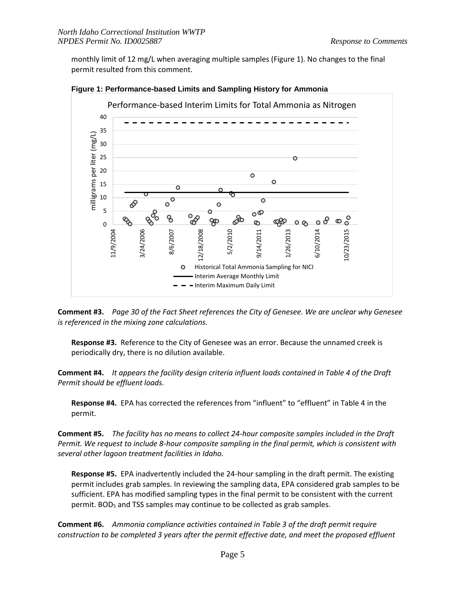monthly limit of 12 mg/L when averaging multiple samples (Figure 1). No changes to the final permit resulted from this comment.





**Comment #3.** *Page 30 of the Fact Sheet references the City of Genesee. We are unclear why Genesee is referenced in the mixing zone calculations.*

**Response #3.** Reference to the City of Genesee was an error. Because the unnamed creek is periodically dry, there is no dilution available.

**Comment #4.** *It appears the facility design criteria influent loads contained in Table 4 of the Draft Permit should be effluent loads.*

**Response #4.** EPA has corrected the references from "influent" to "effluent" in Table 4 in the permit.

**Comment #5.** *The facility has no means to collect 24-hour composite samples included in the Draft Permit. We request to include 8-hour composite sampling in the final permit, which is consistent with several other lagoon treatment facilities in Idaho.*

**Response #5.** EPA inadvertently included the 24-hour sampling in the draft permit. The existing permit includes grab samples. In reviewing the sampling data, EPA considered grab samples to be sufficient. EPA has modified sampling types in the final permit to be consistent with the current permit. BOD<sub>5</sub> and TSS samples may continue to be collected as grab samples.

**Comment #6.** *Ammonia compliance activities contained in Table 3 of the draft permit require construction to be completed 3 years after the permit effective date, and meet the proposed effluent*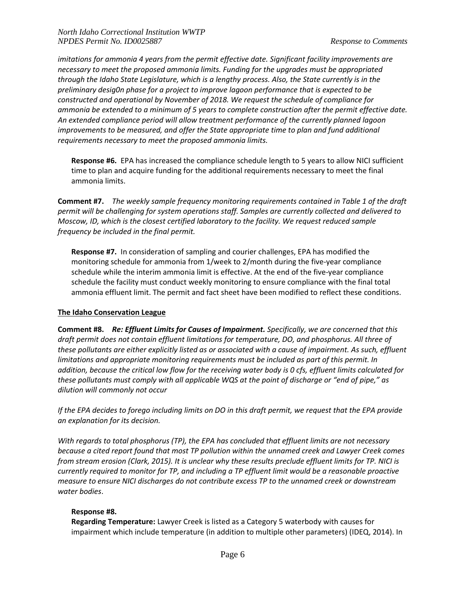*imitations for ammonia 4 years from the permit effective date. Significant facility improvements are necessary to meet the proposed ammonia limits. Funding for the upgrades must be appropriated through the Idaho State Legislature, which is a lengthy process. Also, the State currently is in the preliminary desig0n phase for a project to improve lagoon performance that is expected to be constructed and operational by November of 2018. We request the schedule of compliance for ammonia be extended to a minimum of 5 years to complete construction after the permit effective date. An extended compliance period will allow treatment performance of the currently planned lagoon improvements to be measured, and offer the State appropriate time to plan and fund additional requirements necessary to meet the proposed ammonia limits.*

**Response #6.** EPA has increased the compliance schedule length to 5 years to allow NICI sufficient time to plan and acquire funding for the additional requirements necessary to meet the final ammonia limits.

**Comment #7.** *The weekly sample frequency monitoring requirements contained in Table 1 of the draft permit will be challenging for system operations staff. Samples are currently collected and delivered to Moscow, ID, which is the closest certified laboratory to the facility. We request reduced sample frequency be included in the final permit.*

**Response #7.** In consideration of sampling and courier challenges, EPA has modified the monitoring schedule for ammonia from 1/week to 2/month during the five-year compliance schedule while the interim ammonia limit is effective. At the end of the five-year compliance schedule the facility must conduct weekly monitoring to ensure compliance with the final total ammonia effluent limit. The permit and fact sheet have been modified to reflect these conditions.

## **The Idaho Conservation League**

**Comment #8.** *Re: Effluent Limits for Causes of Impairment. Specifically, we are concerned that this draft permit does not contain effluent limitations for temperature, DO, and phosphorus. All three of these pollutants are either explicitly listed as or associated with a cause of impairment. As such, effluent limitations and appropriate monitoring requirements must be included as part of this permit. In addition, because the critical low flow for the receiving water body is 0 cfs, effluent limits calculated for these pollutants must comply with all applicable WQS at the point of discharge or "end of pipe," as dilution will commonly not occur*

*If the EPA decides to forego including limits on DO in this draft permit, we request that the EPA provide an explanation for its decision.*

*With regards to total phosphorus (TP), the EPA has concluded that effluent limits are not necessary because a cited report found that most TP pollution within the unnamed creek and Lawyer Creek comes from stream erosion (Clark, 2015). It is unclear why these results preclude effluent limits for TP. NICI is currently required to monitor for TP, and including a TP effluent limit would be a reasonable proactive measure to ensure NICI discharges do not contribute excess TP to the unnamed creek or downstream water bodies*.

## **Response #8.**

**Regarding Temperature:** Lawyer Creek is listed as a Category 5 waterbody with causes for impairment which include temperature (in addition to multiple other parameters) (IDEQ, 2014). In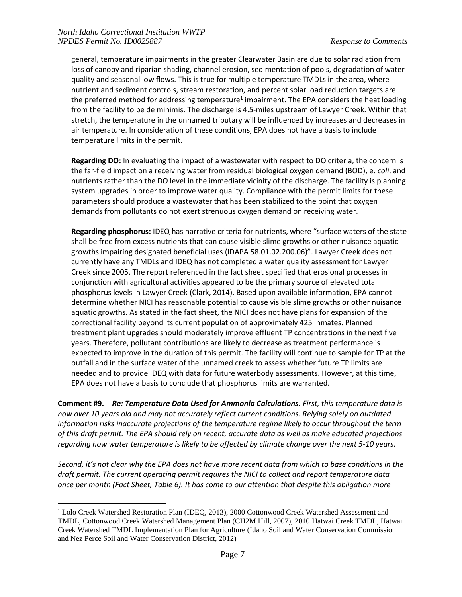$\overline{a}$ 

general, temperature impairments in the greater Clearwater Basin are due to solar radiation from loss of canopy and riparian shading, channel erosion, sedimentation of pools, degradation of water quality and seasonal low flows. This is true for multiple temperature TMDLs in the area, where nutrient and sediment controls, stream restoration, and percent solar load reduction targets are the preferred method for addressing temperature<sup>1</sup> impairment. The EPA considers the heat loading from the facility to be de minimis. The discharge is 4.5-miles upstream of Lawyer Creek. Within that stretch, the temperature in the unnamed tributary will be influenced by increases and decreases in air temperature. In consideration of these conditions, EPA does not have a basis to include temperature limits in the permit.

**Regarding DO:** In evaluating the impact of a wastewater with respect to DO criteria, the concern is the far-field impact on a receiving water from residual biological oxygen demand (BOD), e. *coli*, and nutrients rather than the DO level in the immediate vicinity of the discharge. The facility is planning system upgrades in order to improve water quality. Compliance with the permit limits for these parameters should produce a wastewater that has been stabilized to the point that oxygen demands from pollutants do not exert strenuous oxygen demand on receiving water.

**Regarding phosphorus:** IDEQ has narrative criteria for nutrients, where "surface waters of the state shall be free from excess nutrients that can cause visible slime growths or other nuisance aquatic growths impairing designated beneficial uses (IDAPA 58.01.02.200.06)". Lawyer Creek does not currently have any TMDLs and IDEQ has not completed a water quality assessment for Lawyer Creek since 2005. The report referenced in the fact sheet specified that erosional processes in conjunction with agricultural activities appeared to be the primary source of elevated total phosphorus levels in Lawyer Creek (Clark, 2014). Based upon available information, EPA cannot determine whether NICI has reasonable potential to cause visible slime growths or other nuisance aquatic growths. As stated in the fact sheet, the NICI does not have plans for expansion of the correctional facility beyond its current population of approximately 425 inmates. Planned treatment plant upgrades should moderately improve effluent TP concentrations in the next five years. Therefore, pollutant contributions are likely to decrease as treatment performance is expected to improve in the duration of this permit. The facility will continue to sample for TP at the outfall and in the surface water of the unnamed creek to assess whether future TP limits are needed and to provide IDEQ with data for future waterbody assessments. However, at this time, EPA does not have a basis to conclude that phosphorus limits are warranted.

**Comment #9.** *Re: Temperature Data Used for Ammonia Calculations. First, this temperature data is now over 10 years old and may not accurately reflect current conditions. Relying solely on outdated information risks inaccurate projections of the temperature regime likely to occur throughout the term of this draft permit. The EPA should rely on recent, accurate data as well as make educated projections regarding how water temperature is likely to be affected by climate change over the next 5-10 years.*

*Second, it's not clear why the EPA does not have more recent data from which to base conditions in the draft permit. The current operating permit requires the NICI to collect and report temperature data once per month (Fact Sheet, Table 6). It has come to our attention that despite this obligation more* 

<sup>&</sup>lt;sup>1</sup> Lolo Creek Watershed Restoration Plan (IDEQ, 2013), 2000 Cottonwood Creek Watershed Assessment and TMDL, Cottonwood Creek Watershed Management Plan (CH2M Hill, 2007), 2010 Hatwai Creek TMDL, Hatwai Creek Watershed TMDL Implementation Plan for Agriculture (Idaho Soil and Water Conservation Commission and Nez Perce Soil and Water Conservation District, 2012)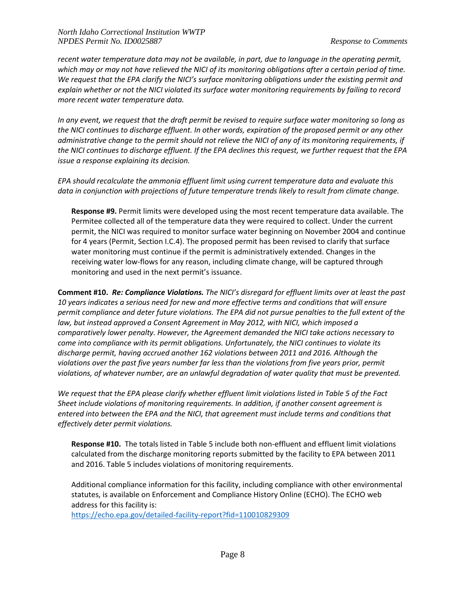*recent water temperature data may not be available, in part, due to language in the operating permit, which may or may not have relieved the NICI of its monitoring obligations after a certain period of time. We request that the EPA clarify the NICI's surface monitoring obligations under the existing permit and explain whether or not the NICI violated its surface water monitoring requirements by failing to record more recent water temperature data.*

*In any event, we request that the draft permit be revised to require surface water monitoring so long as the NICI continues to discharge effluent. In other words, expiration of the proposed permit or any other administrative change to the permit should not relieve the NICI of any of its monitoring requirements, if the NICI continues to discharge effluent. If the EPA declines this request, we further request that the EPA issue a response explaining its decision.*

*EPA should recalculate the ammonia effluent limit using current temperature data and evaluate this data in conjunction with projections of future temperature trends likely to result from climate change.*

**Response #9.** Permit limits were developed using the most recent temperature data available. The Permitee collected all of the temperature data they were required to collect. Under the current permit, the NICI was required to monitor surface water beginning on November 2004 and continue for 4 years (Permit, Section I.C.4). The proposed permit has been revised to clarify that surface water monitoring must continue if the permit is administratively extended. Changes in the receiving water low-flows for any reason, including climate change, will be captured through monitoring and used in the next permit's issuance.

**Comment #10.** *Re: Compliance Violations. The NICI's disregard for effluent limits over at least the past 10 years indicates a serious need for new and more effective terms and conditions that will ensure permit compliance and deter future violations. The EPA did not pursue penalties to the full extent of the law, but instead approved a Consent Agreement in May 2012, with NICI, which imposed a comparatively lower penalty. However, the Agreement demanded the NICI take actions necessary to come into compliance with its permit obligations. Unfortunately, the NICI continues to violate its discharge permit, having accrued another 162 violations between 2011 and 2016. Although the violations over the past five years number far less than the violations from five years prior, permit violations, of whatever number, are an unlawful degradation of water quality that must be prevented.*

*We request that the EPA please clarify whether effluent limit violations listed in Table 5 of the Fact Sheet include violations of monitoring requirements. In addition, if another consent agreement is entered into between the EPA and the NICI, that agreement must include terms and conditions that effectively deter permit violations.*

**Response #10.** The totals listed in Table 5 include both non-effluent and effluent limit violations calculated from the discharge monitoring reports submitted by the facility to EPA between 2011 and 2016. Table 5 includes violations of monitoring requirements.

Additional compliance information for this facility, including compliance with other environmental statutes, is available on Enforcement and Compliance History Online (ECHO). The ECHO web address for this facility is:

<https://echo.epa.gov/detailed-facility-report?fid=110010829309>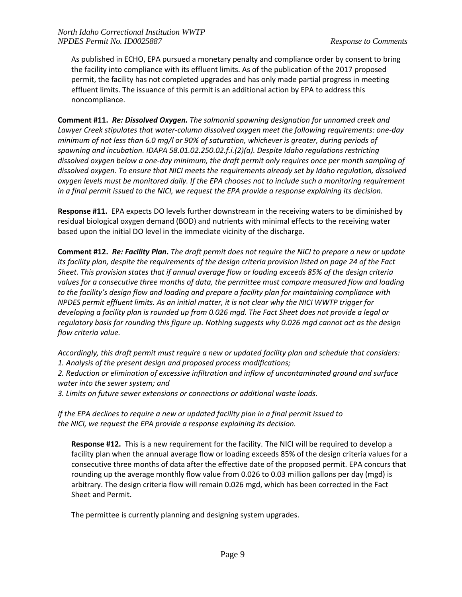As published in ECHO, EPA pursued a monetary penalty and compliance order by consent to bring the facility into compliance with its effluent limits. As of the publication of the 2017 proposed permit, the facility has not completed upgrades and has only made partial progress in meeting effluent limits. The issuance of this permit is an additional action by EPA to address this noncompliance.

**Comment #11.** *Re: Dissolved Oxygen. The salmonid spawning designation for unnamed creek and Lawyer Creek stipulates that water-column dissolved oxygen meet the following requirements: one-day minimum of not less than 6.0 mg/l or 90% of saturation, whichever is greater, during periods of spawning and incubation. IDAPA 58.01.02.250.02.f.i.(2)(a). Despite Idaho regulations restricting dissolved oxygen below a one-day minimum, the draft permit only requires once per month sampling of dissolved oxygen. To ensure that NICI meets the requirements already set by Idaho regulation, dissolved oxygen levels must be monitored daily. If the EPA chooses not to include such a monitoring requirement in a final permit issued to the NICI, we request the EPA provide a response explaining its decision.*

**Response #11.** EPA expects DO levels further downstream in the receiving waters to be diminished by residual biological oxygen demand (BOD) and nutrients with minimal effects to the receiving water based upon the initial DO level in the immediate vicinity of the discharge.

**Comment #12.** *Re: Facility Plan. The draft permit does not require the NICI to prepare a new or update its facility plan, despite the requirements of the design criteria provision listed on page 24 of the Fact Sheet. This provision states that if annual average flow or loading exceeds 85% of the design criteria values for a consecutive three months of data, the permittee must compare measured flow and loading to the facility's design flow and loading and prepare a facility plan for maintaining compliance with NPDES permit effluent limits. As an initial matter, it is not clear why the NICI WWTP trigger for developing a facility plan is rounded up from 0.026 mgd. The Fact Sheet does not provide a legal or regulatory basis for rounding this figure up. Nothing suggests why 0.026 mgd cannot act as the design flow criteria value.*

*Accordingly, this draft permit must require a new or updated facility plan and schedule that considers: 1. Analysis of the present design and proposed process modifications; 2. Reduction or elimination of excessive infiltration and inflow of uncontaminated ground and surface water into the sewer system; and*

*3. Limits on future sewer extensions or connections or additional waste loads.*

*If the EPA declines to require a new or updated facility plan in a final permit issued to the NICI, we request the EPA provide a response explaining its decision.*

**Response #12.** This is a new requirement for the facility. The NICI will be required to develop a facility plan when the annual average flow or loading exceeds 85% of the design criteria values for a consecutive three months of data after the effective date of the proposed permit. EPA concurs that rounding up the average monthly flow value from 0.026 to 0.03 million gallons per day (mgd) is arbitrary. The design criteria flow will remain 0.026 mgd, which has been corrected in the Fact Sheet and Permit.

The permittee is currently planning and designing system upgrades.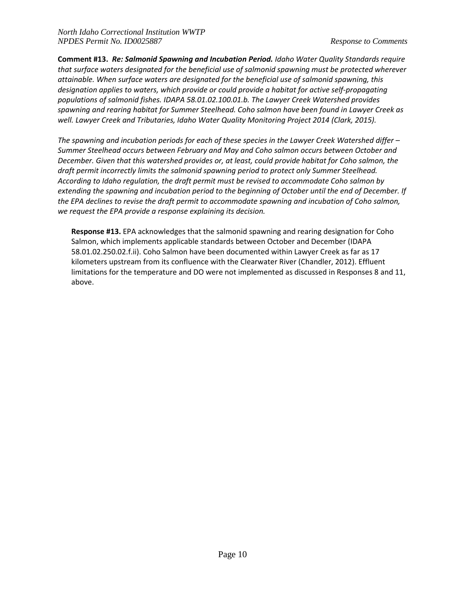**Comment #13.** *Re: Salmonid Spawning and Incubation Period. Idaho Water Quality Standards require that surface waters designated for the beneficial use of salmonid spawning must be protected wherever attainable. When surface waters are designated for the beneficial use of salmonid spawning, this designation applies to waters, which provide or could provide a habitat for active self-propagating populations of salmonid fishes. IDAPA 58.01.02.100.01.b. The Lawyer Creek Watershed provides spawning and rearing habitat for Summer Steelhead. Coho salmon have been found in Lawyer Creek as well. Lawyer Creek and Tributaries, Idaho Water Quality Monitoring Project 2014 (Clark, 2015).*

*The spawning and incubation periods for each of these species in the Lawyer Creek Watershed differ – Summer Steelhead occurs between February and May and Coho salmon occurs between October and December. Given that this watershed provides or, at least, could provide habitat for Coho salmon, the draft permit incorrectly limits the salmonid spawning period to protect only Summer Steelhead. According to Idaho regulation, the draft permit must be revised to accommodate Coho salmon by extending the spawning and incubation period to the beginning of October until the end of December. If the EPA declines to revise the draft permit to accommodate spawning and incubation of Coho salmon, we request the EPA provide a response explaining its decision.*

**Response #13.** EPA acknowledges that the salmonid spawning and rearing designation for Coho Salmon, which implements applicable standards between October and December (IDAPA 58.01.02.250.02.f.ii). Coho Salmon have been documented within Lawyer Creek as far as 17 kilometers upstream from its confluence with the Clearwater River (Chandler, 2012). Effluent limitations for the temperature and DO were not implemented as discussed in Responses 8 and 11, above.